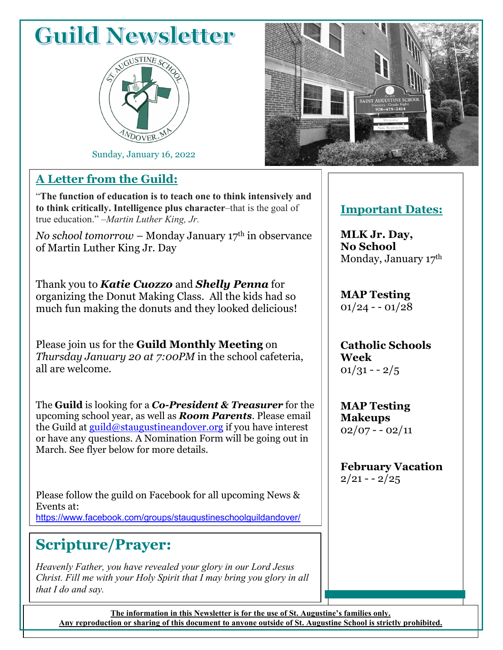# **Guild Newsletter**



Sunday, January 16, 2022

#### **A Letter from the Guild:**

"**The function of education is to teach one to think intensively and to think critically. Intelligence plus character**–that is the goal of true education." –*Martin Luther King, Jr.*

*No school tomorrow* – Monday January 17<sup>th</sup> in observance of Martin Luther King Jr. Day

Thank you to *Katie Cuozzo* and *Shelly Penna* for organizing the Donut Making Class. All the kids had so much fun making the donuts and they looked delicious!

Please join us for the **Guild Monthly Meeting** on *Thursday January 20 at 7:00PM* in the school cafeteria, all are welcome.

The **Guild** is looking for a *Co-President & Treasurer* for the upcoming school year, as well as *Room Parents*. Please email the Guild at  $\frac{guid(\omega)$ staugustineandover.org if you have interest or have any questions. A Nomination Form will be going out in March. See flyer below for more details.

Please follow the guild on Facebook for all upcoming News & Events at: [https://www.facebook.com/groups/staugustineschoolguildandover/](about:blank)

### **Scripture/Prayer:**

*Heavenly Father, you have revealed your glory in our Lord Jesus Christ. Fill me with your Holy Spirit that I may bring you glory in all that I do and say.* 



#### **Important Dates:**

**MLK Jr. Day, No School** Monday, January 17th

**MAP Testing**  $01/24 - 01/28$ 

**Catholic Schools Week**  $01/31 - -2/5$ 

**MAP Testing Makeups**  $02/07 - 02/11$ 

**February Vacation**  $2/21 - 2/25$ 

**The information in this Newsletter is for the use of St. Augustine's families only. Any reproduction or sharing of this document to anyone outside of St. Augustine School is strictly prohibited.**